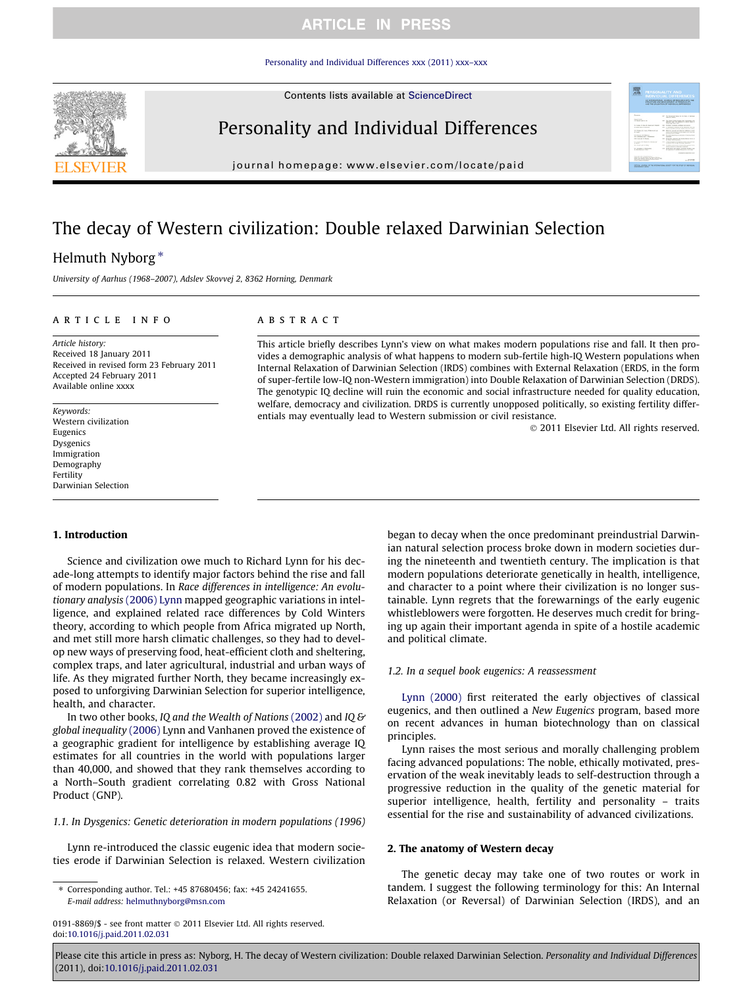[Personality and Individual Differences xxx \(2011\) xxx–xxx](http://dx.doi.org/10.1016/j.paid.2011.02.031)

<span id="page-0-0"></span>

Contents lists available at [ScienceDirect](http://www.sciencedirect.com/science/journal/01918869)

# Personality and Individual Differences

journal homepage: [www.elsevier.com/locate/paid](http://www.elsevier.com/locate/paid)

# The decay of Western civilization: Double relaxed Darwinian Selection

### Helmuth Nyborg\*

University of Aarhus (1968–2007), Adslev Skovvej 2, 8362 Horning, Denmark

### article info

Article history: Received 18 January 2011 Received in revised form 23 February 2011 Accepted 24 February 2011 Available online xxxx

Keywords: Western civilization Eugenics Dysgenics Immigration Demography Fertility Darwinian Selection

1. Introduction

### **ABSTRACT**

This article briefly describes Lynn's view on what makes modern populations rise and fall. It then provides a demographic analysis of what happens to modern sub-fertile high-IQ Western populations when Internal Relaxation of Darwinian Selection (IRDS) combines with External Relaxation (ERDS, in the form of super-fertile low-IQ non-Western immigration) into Double Relaxation of Darwinian Selection (DRDS). The genotypic IQ decline will ruin the economic and social infrastructure needed for quality education, welfare, democracy and civilization. DRDS is currently unopposed politically, so existing fertility differentials may eventually lead to Western submission or civil resistance.

- 2011 Elsevier Ltd. All rights reserved.

**MODERN CONSTRUCT** 

Science and civilization owe much to Richard Lynn for his decade-long attempts to identify major factors behind the rise and fall of modern populations. In Race differences in intelligence: An evolutionary analysis [\(2006\) Lynn](#page-7-0) mapped geographic variations in intelligence, and explained related race differences by Cold Winters theory, according to which people from Africa migrated up North, and met still more harsh climatic challenges, so they had to develop new ways of preserving food, heat-efficient cloth and sheltering, complex traps, and later agricultural, industrial and urban ways of life. As they migrated further North, they became increasingly exposed to unforgiving Darwinian Selection for superior intelligence, health, and character.

In two other books, IQ and the Wealth of Nations [\(2002\)](#page-7-0) and IQ & global inequality [\(2006\)](#page-7-0) Lynn and Vanhanen proved the existence of a geographic gradient for intelligence by establishing average IQ estimates for all countries in the world with populations larger than 40,000, and showed that they rank themselves according to a North–South gradient correlating 0.82 with Gross National Product (GNP).

#### 1.1. In Dysgenics: Genetic deterioration in modern populations (1996)

Lynn re-introduced the classic eugenic idea that modern societies erode if Darwinian Selection is relaxed. Western civilization

⇑ Corresponding author. Tel.: +45 87680456; fax: +45 24241655. E-mail address: [helmuthnyborg@msn.com](mailto:helmuthnyborg@msn.com)

0191-8869/\$ - see front matter © 2011 Elsevier Ltd. All rights reserved. doi[:10.1016/j.paid.2011.02.031](http://dx.doi.org/10.1016/j.paid.2011.02.031)

began to decay when the once predominant preindustrial Darwinian natural selection process broke down in modern societies during the nineteenth and twentieth century. The implication is that modern populations deteriorate genetically in health, intelligence, and character to a point where their civilization is no longer sustainable. Lynn regrets that the forewarnings of the early eugenic whistleblowers were forgotten. He deserves much credit for bringing up again their important agenda in spite of a hostile academic and political climate.

#### 1.2. In a sequel book eugenics: A reassessment

[Lynn \(2000\)](#page-7-0) first reiterated the early objectives of classical eugenics, and then outlined a New Eugenics program, based more on recent advances in human biotechnology than on classical principles.

Lynn raises the most serious and morally challenging problem facing advanced populations: The noble, ethically motivated, preservation of the weak inevitably leads to self-destruction through a progressive reduction in the quality of the genetic material for superior intelligence, health, fertility and personality – traits essential for the rise and sustainability of advanced civilizations.

### 2. The anatomy of Western decay

The genetic decay may take one of two routes or work in tandem. I suggest the following terminology for this: An Internal Relaxation (or Reversal) of Darwinian Selection (IRDS), and an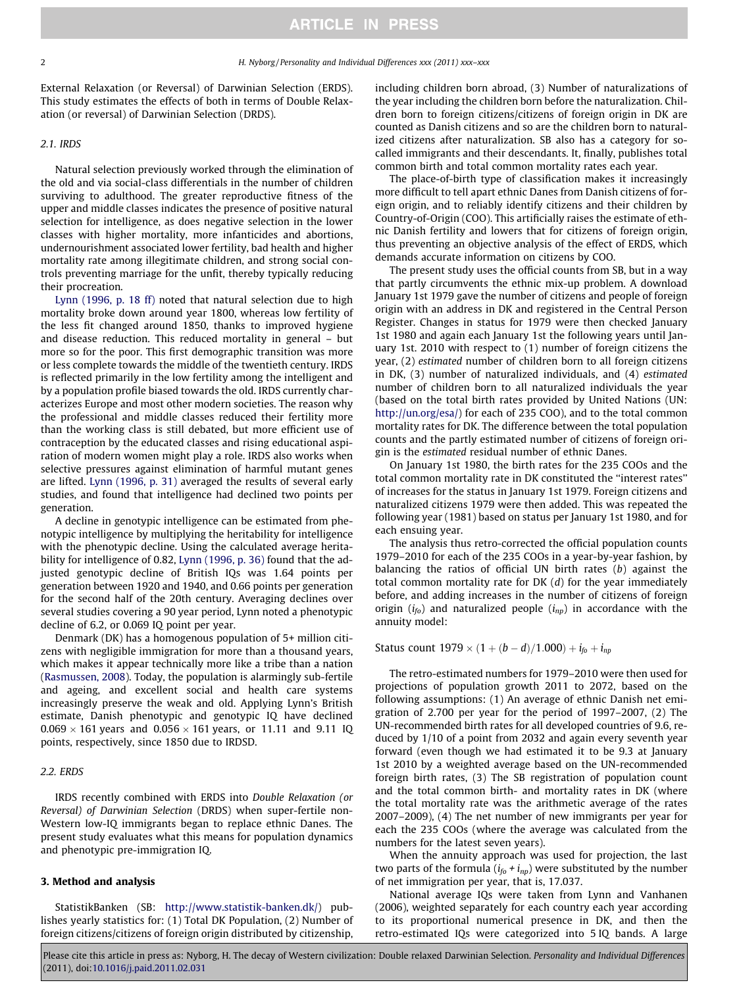#### <span id="page-1-0"></span>2 H. Nyborg / Personality and Individual Differences xxx (2011) xxx–xxx

External Relaxation (or Reversal) of Darwinian Selection (ERDS). This study estimates the effects of both in terms of Double Relaxation (or reversal) of Darwinian Selection (DRDS).

#### 2.1. IRDS

Natural selection previously worked through the elimination of the old and via social-class differentials in the number of children surviving to adulthood. The greater reproductive fitness of the upper and middle classes indicates the presence of positive natural selection for intelligence, as does negative selection in the lower classes with higher mortality, more infanticides and abortions, undernourishment associated lower fertility, bad health and higher mortality rate among illegitimate children, and strong social controls preventing marriage for the unfit, thereby typically reducing their procreation.

[Lynn \(1996, p. 18 ff\)](#page-7-0) noted that natural selection due to high mortality broke down around year 1800, whereas low fertility of the less fit changed around 1850, thanks to improved hygiene and disease reduction. This reduced mortality in general – but more so for the poor. This first demographic transition was more or less complete towards the middle of the twentieth century. IRDS is reflected primarily in the low fertility among the intelligent and by a population profile biased towards the old. IRDS currently characterizes Europe and most other modern societies. The reason why the professional and middle classes reduced their fertility more than the working class is still debated, but more efficient use of contraception by the educated classes and rising educational aspiration of modern women might play a role. IRDS also works when selective pressures against elimination of harmful mutant genes are lifted. [Lynn \(1996, p. 31\)](#page-7-0) averaged the results of several early studies, and found that intelligence had declined two points per generation.

A decline in genotypic intelligence can be estimated from phenotypic intelligence by multiplying the heritability for intelligence with the phenotypic decline. Using the calculated average heritability for intelligence of 0.82, [Lynn \(1996, p. 36\)](#page-7-0) found that the adjusted genotypic decline of British IQs was 1.64 points per generation between 1920 and 1940, and 0.66 points per generation for the second half of the 20th century. Averaging declines over several studies covering a 90 year period, Lynn noted a phenotypic decline of 6.2, or 0.069 IQ point per year.

Denmark (DK) has a homogenous population of 5+ million citizens with negligible immigration for more than a thousand years, which makes it appear technically more like a tribe than a nation ([Rasmussen, 2008\)](#page-7-0). Today, the population is alarmingly sub-fertile and ageing, and excellent social and health care systems increasingly preserve the weak and old. Applying Lynn's British estimate, Danish phenotypic and genotypic IQ have declined 0.069  $\times$  161 years and 0.056  $\times$  161 years, or 11.11 and 9.11 IQ points, respectively, since 1850 due to IRDSD.

#### 2.2. ERDS

IRDS recently combined with ERDS into Double Relaxation (or Reversal) of Darwinian Selection (DRDS) when super-fertile non-Western low-IQ immigrants began to replace ethnic Danes. The present study evaluates what this means for population dynamics and phenotypic pre-immigration IQ.

#### 3. Method and analysis

StatistikBanken (SB: [http://www.statistik-banken.dk/\)](#page-7-0) publishes yearly statistics for: (1) Total DK Population, (2) Number of foreign citizens/citizens of foreign origin distributed by citizenship,

including children born abroad, (3) Number of naturalizations of the year including the children born before the naturalization. Children born to foreign citizens/citizens of foreign origin in DK are counted as Danish citizens and so are the children born to naturalized citizens after naturalization. SB also has a category for socalled immigrants and their descendants. It, finally, publishes total common birth and total common mortality rates each year.

The place-of-birth type of classification makes it increasingly more difficult to tell apart ethnic Danes from Danish citizens of foreign origin, and to reliably identify citizens and their children by Country-of-Origin (COO). This artificially raises the estimate of ethnic Danish fertility and lowers that for citizens of foreign origin, thus preventing an objective analysis of the effect of ERDS, which demands accurate information on citizens by COO.

The present study uses the official counts from SB, but in a way that partly circumvents the ethnic mix-up problem. A download January 1st 1979 gave the number of citizens and people of foreign origin with an address in DK and registered in the Central Person Register. Changes in status for 1979 were then checked January 1st 1980 and again each January 1st the following years until January 1st. 2010 with respect to (1) number of foreign citizens the year, (2) estimated number of children born to all foreign citizens in DK, (3) number of naturalized individuals, and (4) estimated number of children born to all naturalized individuals the year (based on the total birth rates provided by United Nations (UN: [http://un.org/esa/](#page-7-0)) for each of 235 COO), and to the total common mortality rates for DK. The difference between the total population counts and the partly estimated number of citizens of foreign origin is the estimated residual number of ethnic Danes.

On January 1st 1980, the birth rates for the 235 COOs and the total common mortality rate in DK constituted the ''interest rates'' of increases for the status in January 1st 1979. Foreign citizens and naturalized citizens 1979 were then added. This was repeated the following year (1981) based on status per January 1st 1980, and for each ensuing year.

The analysis thus retro-corrected the official population counts 1979–2010 for each of the 235 COOs in a year-by-year fashion, by balancing the ratios of official UN birth rates (b) against the total common mortality rate for DK  $(d)$  for the year immediately before, and adding increases in the number of citizens of foreign origin ( $i_{fo}$ ) and naturalized people ( $i_{np}$ ) in accordance with the annuity model:

Status count  $1979 \times (1 + (b - d)/1.000) + i_{fo} + i_{np}$ 

The retro-estimated numbers for 1979–2010 were then used for projections of population growth 2011 to 2072, based on the following assumptions: (1) An average of ethnic Danish net emigration of 2.700 per year for the period of 1997–2007, (2) The UN-recommended birth rates for all developed countries of 9.6, reduced by 1/10 of a point from 2032 and again every seventh year forward (even though we had estimated it to be 9.3 at January 1st 2010 by a weighted average based on the UN-recommended foreign birth rates, (3) The SB registration of population count and the total common birth- and mortality rates in DK (where the total mortality rate was the arithmetic average of the rates 2007–2009), (4) The net number of new immigrants per year for each the 235 COOs (where the average was calculated from the numbers for the latest seven years).

When the annuity approach was used for projection, the last two parts of the formula  $(i_{fo} + i_{np})$  were substituted by the number of net immigration per year, that is, 17.037.

National average IQs were taken from Lynn and Vanhanen (2006), weighted separately for each country each year according to its proportional numerical presence in DK, and then the retro-estimated IQs were categorized into 5 IQ bands. A large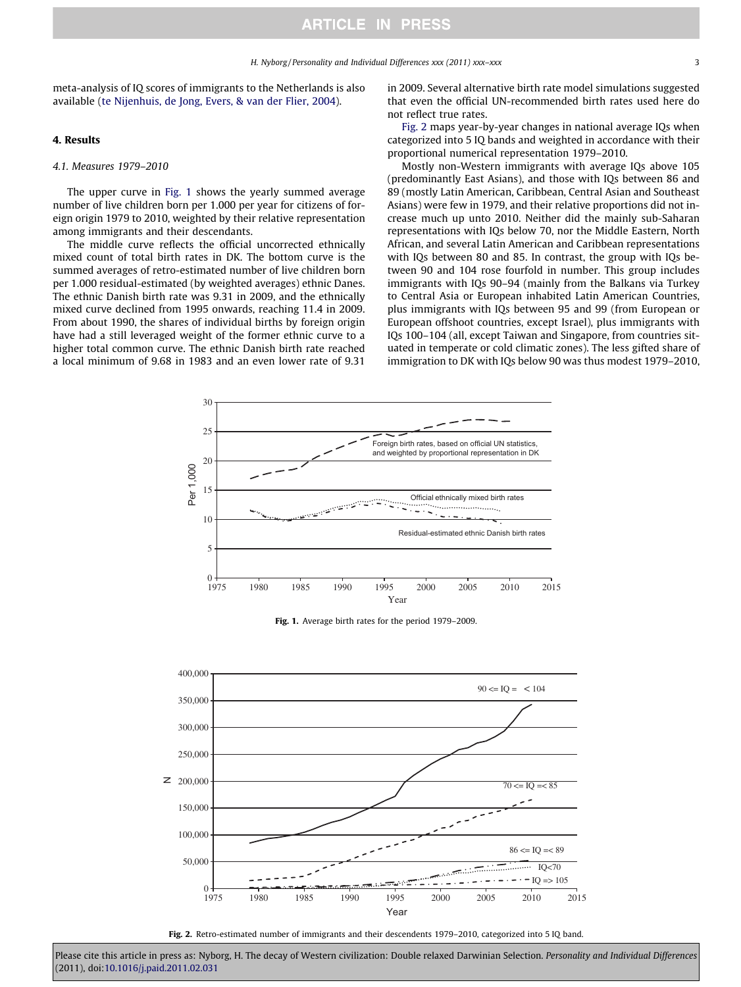<span id="page-2-0"></span>meta-analysis of IQ scores of immigrants to the Netherlands is also available ([te Nijenhuis, de Jong, Evers, & van der Flier, 2004\)](#page-7-0).

#### 4. Results

### 4.1. Measures 1979–2010

The upper curve in Fig. 1 shows the yearly summed average number of live children born per 1.000 per year for citizens of foreign origin 1979 to 2010, weighted by their relative representation among immigrants and their descendants.

The middle curve reflects the official uncorrected ethnically mixed count of total birth rates in DK. The bottom curve is the summed averages of retro-estimated number of live children born per 1.000 residual-estimated (by weighted averages) ethnic Danes. The ethnic Danish birth rate was 9.31 in 2009, and the ethnically mixed curve declined from 1995 onwards, reaching 11.4 in 2009. From about 1990, the shares of individual births by foreign origin have had a still leveraged weight of the former ethnic curve to a higher total common curve. The ethnic Danish birth rate reached a local minimum of 9.68 in 1983 and an even lower rate of 9.31

in 2009. Several alternative birth rate model simulations suggested that even the official UN-recommended birth rates used here do not reflect true rates.

Fig. 2 maps year-by-year changes in national average IQs when categorized into 5 IQ bands and weighted in accordance with their proportional numerical representation 1979–2010.

Mostly non-Western immigrants with average IQs above 105 (predominantly East Asians), and those with IQs between 86 and 89 (mostly Latin American, Caribbean, Central Asian and Southeast Asians) were few in 1979, and their relative proportions did not increase much up unto 2010. Neither did the mainly sub-Saharan representations with IQs below 70, nor the Middle Eastern, North African, and several Latin American and Caribbean representations with IQs between 80 and 85. In contrast, the group with IQs between 90 and 104 rose fourfold in number. This group includes immigrants with IQs 90–94 (mainly from the Balkans via Turkey to Central Asia or European inhabited Latin American Countries, plus immigrants with IQs between 95 and 99 (from European or European offshoot countries, except Israel), plus immigrants with IQs 100–104 (all, except Taiwan and Singapore, from countries situated in temperate or cold climatic zones). The less gifted share of immigration to DK with IQs below 90 was thus modest 1979–2010,



Fig. 1. Average birth rates for the period 1979-2009.



Fig. 2. Retro-estimated number of immigrants and their descendents 1979–2010, categorized into 5 IQ band.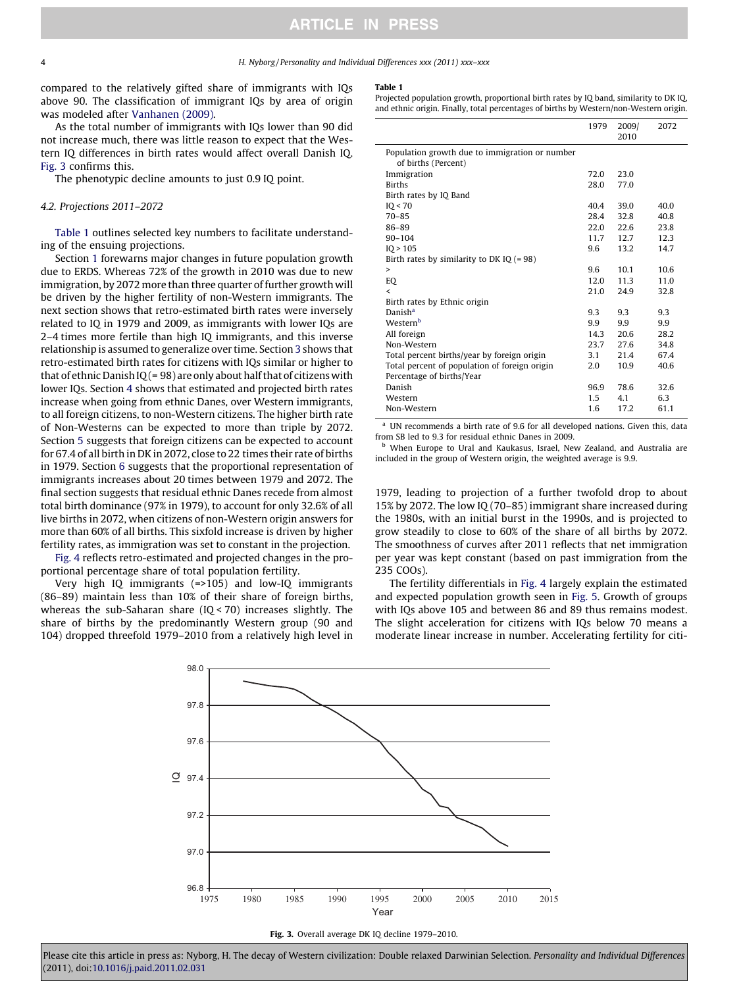#### <span id="page-3-0"></span>4 H. Nyborg / Personality and Individual Differences xxx (2011) xxx–xxx

compared to the relatively gifted share of immigrants with IQs above 90. The classification of immigrant IQs by area of origin was modeled after [Vanhanen \(2009\).](#page-7-0)

As the total number of immigrants with IQs lower than 90 did not increase much, there was little reason to expect that the Western IQ differences in birth rates would affect overall Danish IQ. Fig. 3 confirms this.

The phenotypic decline amounts to just 0.9 IQ point.

#### 4.2. Projections 2011–2072

Table 1 outlines selected key numbers to facilitate understanding of the ensuing projections.

Section [1](#page-0-0) forewarns major changes in future population growth due to ERDS. Whereas 72% of the growth in 2010 was due to new immigration, by 2072 more than three quarter of further growth will be driven by the higher fertility of non-Western immigrants. The next section shows that retro-estimated birth rates were inversely related to IQ in 1979 and 2009, as immigrants with lower IQs are 2–4 times more fertile than high IQ immigrants, and this inverse relationship is assumed to generalize over time. Section [3](#page-1-0) shows that retro-estimated birth rates for citizens with IQs similar or higher to that of ethnic Danish IQ (= 98) are only about half that of citizens with lower IQs. Section [4](#page-2-0) shows that estimated and projected birth rates increase when going from ethnic Danes, over Western immigrants, to all foreign citizens, to non-Western citizens. The higher birth rate of Non-Westerns can be expected to more than triple by 2072. Section [5](#page-4-0) suggests that foreign citizens can be expected to account for 67.4 of all birth in DK in 2072, close to 22 times their rate of births in 1979. Section [6](#page-6-0) suggests that the proportional representation of immigrants increases about 20 times between 1979 and 2072. The final section suggests that residual ethnic Danes recede from almost total birth dominance (97% in 1979), to account for only 32.6% of all live births in 2072, when citizens of non-Western origin answers for more than 60% of all births. This sixfold increase is driven by higher fertility rates, as immigration was set to constant in the projection.

[Fig. 4](#page-4-0) reflects retro-estimated and projected changes in the proportional percentage share of total population fertility.

Very high IQ immigrants (=>105) and low-IQ immigrants (86–89) maintain less than 10% of their share of foreign births, whereas the sub-Saharan share (IQ < 70) increases slightly. The share of births by the predominantly Western group (90 and 104) dropped threefold 1979–2010 from a relatively high level in

#### Table 1

Projected population growth, proportional birth rates by IQ band, similarity to DK IQ, and ethnic origin. Finally, total percentages of births by Western/non-Western origin.

|                                                                            | 1979          | 2009/<br>2010 | 2072 |
|----------------------------------------------------------------------------|---------------|---------------|------|
| Population growth due to immigration or number<br>of births (Percent)      |               |               |      |
| Immigration                                                                | 72.0          | 23.0          |      |
| <b>Births</b>                                                              | 28.0          | 77.0          |      |
| Birth rates by IQ Band                                                     |               |               |      |
| IO < 70                                                                    | 40.4          | 39.0          | 40.0 |
| $70 - 85$                                                                  | 28.4          | 32.8          | 40.8 |
| 86-89                                                                      | 22.0          | 22.6          | 23.8 |
| $90 - 104$                                                                 | 11.7          | 12.7          | 12.3 |
| IO > 105                                                                   | 9.6           | 13.2          | 14.7 |
| Birth rates by similarity to DK IQ $(=98)$                                 |               |               |      |
| >                                                                          | 9.6           | 10.1          | 10.6 |
| <b>EQ</b>                                                                  | 12.0          | 11.3          | 11.0 |
| $\overline{\phantom{a}}$                                                   | 21.0          | 24.9          | 32.8 |
| Birth rates by Ethnic origin                                               |               |               |      |
| Danish <sup>a</sup>                                                        | 9.3           | 9.3           | 9.3  |
| Western <sup>b</sup>                                                       | 9.9           | 9.9           | 9.9  |
| All foreign                                                                | 14.3          | 20.6          | 28.2 |
| Non-Western                                                                | 23.7          | 27.6          | 34.8 |
| Total percent births/year by foreign origin                                | 3.1           | 21.4          | 67.4 |
| Total percent of population of foreign origin<br>Percentage of births/Year | 2.0           | 10.9          | 40.6 |
| Danish                                                                     | 96.9          | 78.6          | 32.6 |
| Western                                                                    | $1.5^{\circ}$ | 4.1           | 6.3  |
| Non-Western                                                                | 1.6           | 17.2          | 61.1 |

<sup>a</sup> UN recommends a birth rate of 9.6 for all developed nations. Given this, data from SB led to 9.3 for residual ethnic Danes in 2009.

<sup>b</sup> When Europe to Ural and Kaukasus, Israel, New Zealand, and Australia are included in the group of Western origin, the weighted average is 9.9.

1979, leading to projection of a further twofold drop to about 15% by 2072. The low IQ (70–85) immigrant share increased during the 1980s, with an initial burst in the 1990s, and is projected to grow steadily to close to 60% of the share of all births by 2072. The smoothness of curves after 2011 reflects that net immigration per year was kept constant (based on past immigration from the 235 COOs).

The fertility differentials in [Fig. 4](#page-4-0) largely explain the estimated and expected population growth seen in [Fig. 5](#page-4-0). Growth of groups with IQs above 105 and between 86 and 89 thus remains modest. The slight acceleration for citizens with IQs below 70 means a moderate linear increase in number. Accelerating fertility for citi-



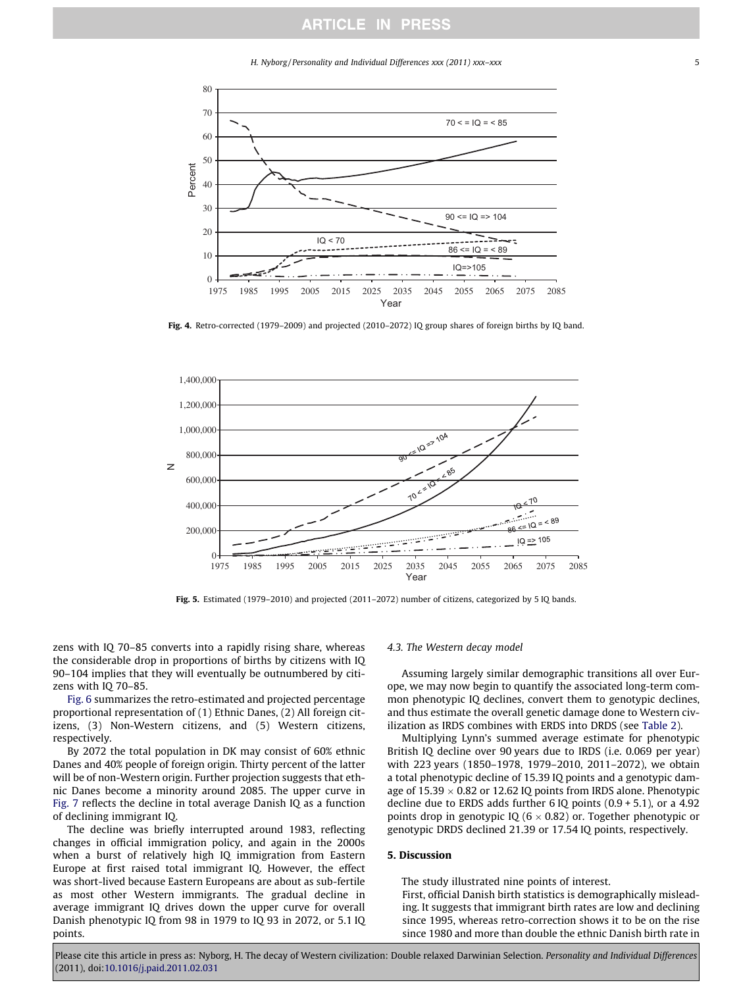H. Nyborg / Personality and Individual Differences xxx (2011) xxx–xxx 5

<span id="page-4-0"></span>

Fig. 4. Retro-corrected (1979–2009) and projected (2010–2072) IQ group shares of foreign births by IQ band.



Fig. 5. Estimated (1979–2010) and projected (2011–2072) number of citizens, categorized by 5 IQ bands.

zens with IQ 70–85 converts into a rapidly rising share, whereas the considerable drop in proportions of births by citizens with IQ 90–104 implies that they will eventually be outnumbered by citizens with IQ 70–85.

[Fig. 6](#page-5-0) summarizes the retro-estimated and projected percentage proportional representation of (1) Ethnic Danes, (2) All foreign citizens, (3) Non-Western citizens, and (5) Western citizens, respectively.

By 2072 the total population in DK may consist of 60% ethnic Danes and 40% people of foreign origin. Thirty percent of the latter will be of non-Western origin. Further projection suggests that ethnic Danes become a minority around 2085. The upper curve in [Fig. 7](#page-5-0) reflects the decline in total average Danish IQ as a function of declining immigrant IQ.

The decline was briefly interrupted around 1983, reflecting changes in official immigration policy, and again in the 2000s when a burst of relatively high IQ immigration from Eastern Europe at first raised total immigrant IQ. However, the effect was short-lived because Eastern Europeans are about as sub-fertile as most other Western immigrants. The gradual decline in average immigrant IQ drives down the upper curve for overall Danish phenotypic IQ from 98 in 1979 to IQ 93 in 2072, or 5.1 IQ points.

#### 4.3. The Western decay model

Assuming largely similar demographic transitions all over Europe, we may now begin to quantify the associated long-term common phenotypic IQ declines, convert them to genotypic declines, and thus estimate the overall genetic damage done to Western civilization as IRDS combines with ERDS into DRDS (see [Table 2](#page-5-0)).

Multiplying Lynn's summed average estimate for phenotypic British IQ decline over 90 years due to IRDS (i.e. 0.069 per year) with 223 years (1850–1978, 1979–2010, 2011–2072), we obtain a total phenotypic decline of 15.39 IQ points and a genotypic damage of 15.39  $\times$  0.82 or 12.62 IQ points from IRDS alone. Phenotypic decline due to ERDS adds further  $6$  IQ points  $(0.9 + 5.1)$ , or a 4.92 points drop in genotypic IQ (6  $\times$  0.82) or. Together phenotypic or genotypic DRDS declined 21.39 or 17.54 IQ points, respectively.

#### 5. Discussion

The study illustrated nine points of interest.

First, official Danish birth statistics is demographically misleading. It suggests that immigrant birth rates are low and declining since 1995, whereas retro-correction shows it to be on the rise since 1980 and more than double the ethnic Danish birth rate in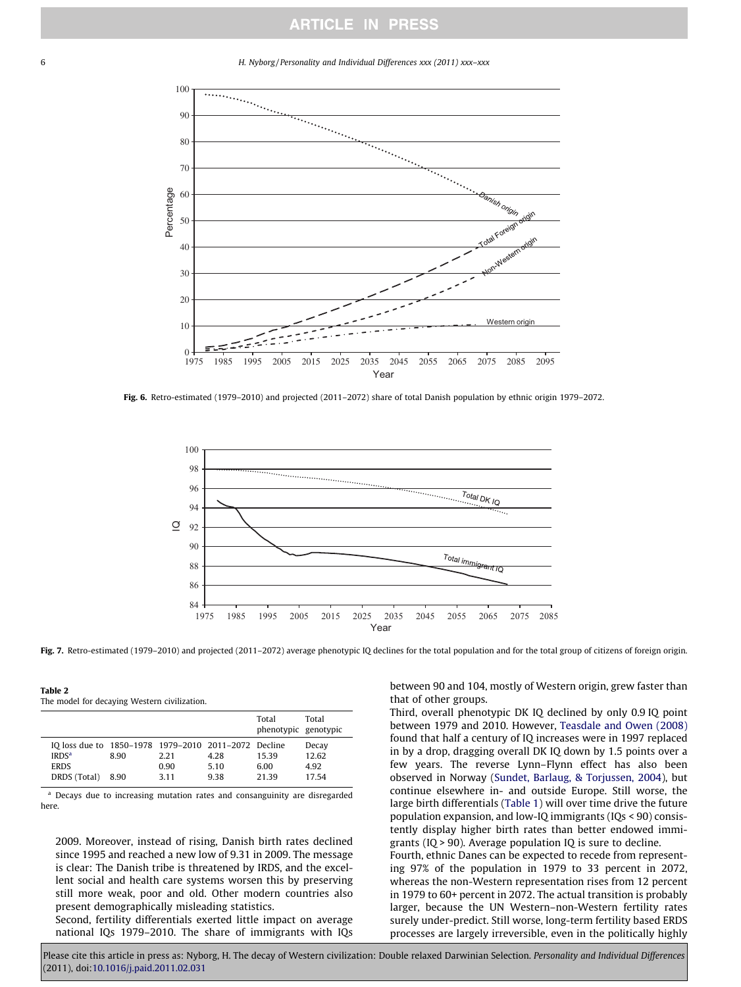<span id="page-5-0"></span>6 H. Nyborg / Personality and Individual Differences xxx (2011) xxx–xxx



Fig. 6. Retro-estimated (1979–2010) and projected (2011–2072) share of total Danish population by ethnic origin 1979–2072.



Fig. 7. Retro-estimated (1979-2010) and projected (2011-2072) average phenotypic IQ declines for the total population and for the total group of citizens of foreign origin.

Table 2 The model for decaying Western civilization.

|                                                                                                          |              |                      |                      | Total<br>phenotypic genotypic | Total                           |
|----------------------------------------------------------------------------------------------------------|--------------|----------------------|----------------------|-------------------------------|---------------------------------|
| IO loss due to 1850–1978 1979–2010 2011–2072 Decline<br>IRDS <sup>a</sup><br><b>ERDS</b><br>DRDS (Total) | 8.90<br>8.90 | 2.21<br>0.90<br>3.11 | 4.28<br>5.10<br>9.38 | 15.39<br>6.00<br>21.39        | Decay<br>12.62<br>4.92<br>17.54 |

<sup>a</sup> Decays due to increasing mutation rates and consanguinity are disregarded here.

2009. Moreover, instead of rising, Danish birth rates declined since 1995 and reached a new low of 9.31 in 2009. The message is clear: The Danish tribe is threatened by IRDS, and the excellent social and health care systems worsen this by preserving still more weak, poor and old. Other modern countries also present demographically misleading statistics.

Second, fertility differentials exerted little impact on average national IQs 1979–2010. The share of immigrants with IQs between 90 and 104, mostly of Western origin, grew faster than that of other groups.

Third, overall phenotypic DK IQ declined by only 0.9 IQ point between 1979 and 2010. However, [Teasdale and Owen \(2008\)](#page-7-0) found that half a century of IQ increases were in 1997 replaced in by a drop, dragging overall DK IQ down by 1.5 points over a few years. The reverse Lynn–Flynn effect has also been observed in Norway ([Sundet, Barlaug, & Torjussen, 2004\)](#page-7-0), but continue elsewhere in- and outside Europe. Still worse, the large birth differentials [\(Table 1](#page-3-0)) will over time drive the future population expansion, and low-IQ immigrants (IQs < 90) consistently display higher birth rates than better endowed immigrants (IQ > 90). Average population IQ is sure to decline. Fourth, ethnic Danes can be expected to recede from representing 97% of the population in 1979 to 33 percent in 2072,

whereas the non-Western representation rises from 12 percent in 1979 to 60+ percent in 2072. The actual transition is probably larger, because the UN Western–non-Western fertility rates surely under-predict. Still worse, long-term fertility based ERDS processes are largely irreversible, even in the politically highly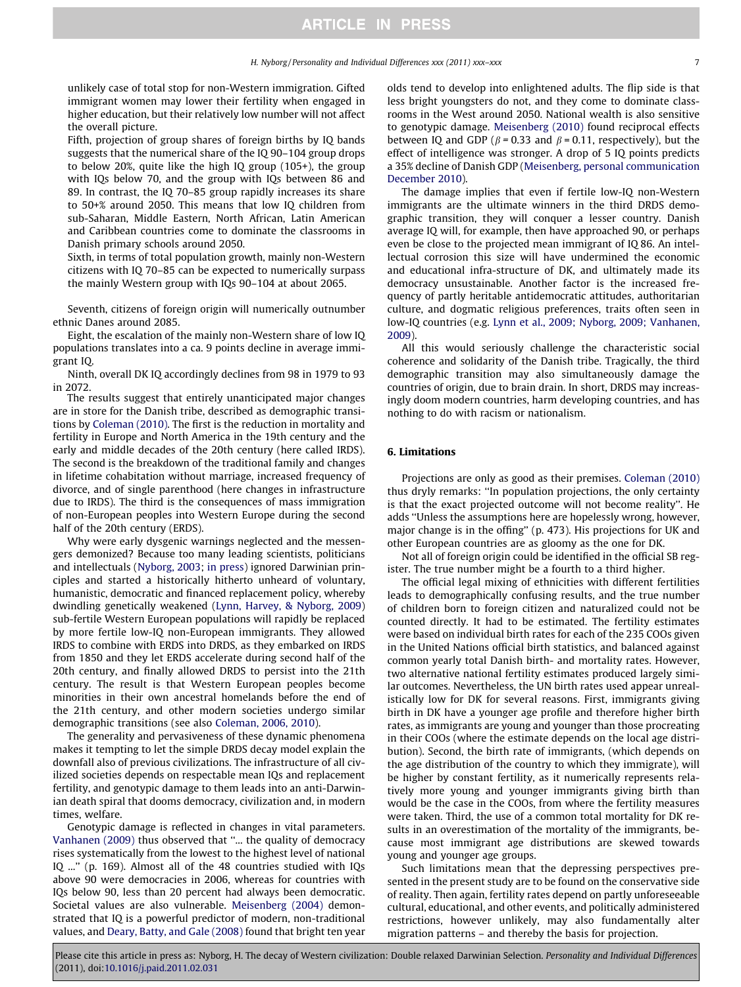<span id="page-6-0"></span>unlikely case of total stop for non-Western immigration. Gifted immigrant women may lower their fertility when engaged in higher education, but their relatively low number will not affect the overall picture.

Fifth, projection of group shares of foreign births by IQ bands suggests that the numerical share of the IQ 90–104 group drops to below 20%, quite like the high IQ group (105+), the group with IQs below 70, and the group with IQs between 86 and 89. In contrast, the IQ 70–85 group rapidly increases its share to 50+% around 2050. This means that low IQ children from sub-Saharan, Middle Eastern, North African, Latin American and Caribbean countries come to dominate the classrooms in Danish primary schools around 2050.

Sixth, in terms of total population growth, mainly non-Western citizens with IQ 70–85 can be expected to numerically surpass the mainly Western group with IQs 90–104 at about 2065.

Seventh, citizens of foreign origin will numerically outnumber ethnic Danes around 2085.

Eight, the escalation of the mainly non-Western share of low IQ populations translates into a ca. 9 points decline in average immigrant IQ.

Ninth, overall DK IQ accordingly declines from 98 in 1979 to 93 in 2072.

The results suggest that entirely unanticipated major changes are in store for the Danish tribe, described as demographic transitions by [Coleman \(2010\).](#page-7-0) The first is the reduction in mortality and fertility in Europe and North America in the 19th century and the early and middle decades of the 20th century (here called IRDS). The second is the breakdown of the traditional family and changes in lifetime cohabitation without marriage, increased frequency of divorce, and of single parenthood (here changes in infrastructure due to IRDS). The third is the consequences of mass immigration of non-European peoples into Western Europe during the second half of the 20th century (ERDS).

Why were early dysgenic warnings neglected and the messengers demonized? Because too many leading scientists, politicians and intellectuals ([Nyborg, 2003](#page-7-0); [in press](#page-7-0)) ignored Darwinian principles and started a historically hitherto unheard of voluntary, humanistic, democratic and financed replacement policy, whereby dwindling genetically weakened ([Lynn, Harvey, & Nyborg, 2009\)](#page-7-0) sub-fertile Western European populations will rapidly be replaced by more fertile low-IQ non-European immigrants. They allowed IRDS to combine with ERDS into DRDS, as they embarked on IRDS from 1850 and they let ERDS accelerate during second half of the 20th century, and finally allowed DRDS to persist into the 21th century. The result is that Western European peoples become minorities in their own ancestral homelands before the end of the 21th century, and other modern societies undergo similar demographic transitions (see also [Coleman, 2006, 2010](#page-7-0)).

The generality and pervasiveness of these dynamic phenomena makes it tempting to let the simple DRDS decay model explain the downfall also of previous civilizations. The infrastructure of all civilized societies depends on respectable mean IQs and replacement fertility, and genotypic damage to them leads into an anti-Darwinian death spiral that dooms democracy, civilization and, in modern times, welfare.

Genotypic damage is reflected in changes in vital parameters. [Vanhanen \(2009\)](#page-7-0) thus observed that ''... the quality of democracy rises systematically from the lowest to the highest level of national IQ ...'' (p. 169). Almost all of the 48 countries studied with IQs above 90 were democracies in 2006, whereas for countries with IQs below 90, less than 20 percent had always been democratic. Societal values are also vulnerable. [Meisenberg \(2004\)](#page-7-0) demonstrated that IQ is a powerful predictor of modern, non-traditional values, and [Deary, Batty, and Gale \(2008\)](#page-7-0) found that bright ten year olds tend to develop into enlightened adults. The flip side is that less bright youngsters do not, and they come to dominate classrooms in the West around 2050. National wealth is also sensitive to genotypic damage. [Meisenberg \(2010\)](#page-7-0) found reciprocal effects between IQ and GDP ( $\beta$  = 0.33 and  $\beta$  = 0.11, respectively), but the effect of intelligence was stronger. A drop of 5 IQ points predicts a 35% decline of Danish GDP [\(Meisenberg, personal communication](#page-7-0) [December 2010](#page-7-0)).

The damage implies that even if fertile low-IQ non-Western immigrants are the ultimate winners in the third DRDS demographic transition, they will conquer a lesser country. Danish average IQ will, for example, then have approached 90, or perhaps even be close to the projected mean immigrant of IQ 86. An intellectual corrosion this size will have undermined the economic and educational infra-structure of DK, and ultimately made its democracy unsustainable. Another factor is the increased frequency of partly heritable antidemocratic attitudes, authoritarian culture, and dogmatic religious preferences, traits often seen in low-IQ countries (e.g. [Lynn et al., 2009; Nyborg, 2009; Vanhanen,](#page-7-0) [2009](#page-7-0)).

All this would seriously challenge the characteristic social coherence and solidarity of the Danish tribe. Tragically, the third demographic transition may also simultaneously damage the countries of origin, due to brain drain. In short, DRDS may increasingly doom modern countries, harm developing countries, and has nothing to do with racism or nationalism.

### 6. Limitations

Projections are only as good as their premises. [Coleman \(2010\)](#page-7-0) thus dryly remarks: ''In population projections, the only certainty is that the exact projected outcome will not become reality''. He adds ''Unless the assumptions here are hopelessly wrong, however, major change is in the offing'' (p. 473). His projections for UK and other European countries are as gloomy as the one for DK.

Not all of foreign origin could be identified in the official SB register. The true number might be a fourth to a third higher.

The official legal mixing of ethnicities with different fertilities leads to demographically confusing results, and the true number of children born to foreign citizen and naturalized could not be counted directly. It had to be estimated. The fertility estimates were based on individual birth rates for each of the 235 COOs given in the United Nations official birth statistics, and balanced against common yearly total Danish birth- and mortality rates. However, two alternative national fertility estimates produced largely similar outcomes. Nevertheless, the UN birth rates used appear unrealistically low for DK for several reasons. First, immigrants giving birth in DK have a younger age profile and therefore higher birth rates, as immigrants are young and younger than those procreating in their COOs (where the estimate depends on the local age distribution). Second, the birth rate of immigrants, (which depends on the age distribution of the country to which they immigrate), will be higher by constant fertility, as it numerically represents relatively more young and younger immigrants giving birth than would be the case in the COOs, from where the fertility measures were taken. Third, the use of a common total mortality for DK results in an overestimation of the mortality of the immigrants, because most immigrant age distributions are skewed towards young and younger age groups.

Such limitations mean that the depressing perspectives presented in the present study are to be found on the conservative side of reality. Then again, fertility rates depend on partly unforeseeable cultural, educational, and other events, and politically administered restrictions, however unlikely, may also fundamentally alter migration patterns – and thereby the basis for projection.